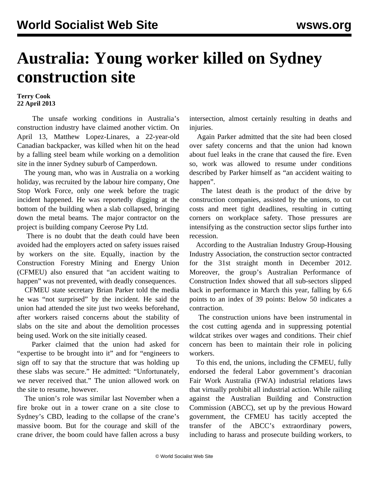## **Australia: Young worker killed on Sydney construction site**

## **Terry Cook 22 April 2013**

 The unsafe working conditions in Australia's construction industry have claimed another victim. On April 13, Matthew Lopez-Linares, a 22-year-old Canadian backpacker, was killed when hit on the head by a falling steel beam while working on a demolition site in the inner Sydney suburb of Camperdown.

 The young man, who was in Australia on a working holiday, was recruited by the labour hire company, One Stop Work Force, only one week before the tragic incident happened. He was reportedly digging at the bottom of the building when a slab collapsed, bringing down the metal beams. The major contractor on the project is building company Ceerose Pty Ltd.

 There is no doubt that the death could have been avoided had the employers acted on safety issues raised by workers on the site. Equally, inaction by the Construction Forestry Mining and Energy Union (CFMEU) also ensured that "an accident waiting to happen" was not prevented, with deadly consequences.

 CFMEU state secretary Brian Parker told the media he was "not surprised" by the incident. He said the union had attended the site just two weeks beforehand, after workers raised concerns about the stability of slabs on the site and about the demolition processes being used. Work on the site initially ceased.

 Parker claimed that the union had asked for "expertise to be brought into it" and for "engineers to sign off to say that the structure that was holding up these slabs was secure." He admitted: "Unfortunately, we never received that." The union allowed work on the site to resume, however.

 The union's role was similar last November when a fire broke out in a tower crane on a site close to Sydney's CBD, leading to the collapse of the crane's massive boom. But for the courage and skill of the crane driver, the boom could have fallen across a busy intersection, almost certainly resulting in deaths and injuries.

 Again Parker admitted that the site had been closed over safety concerns and that the union had known about fuel leaks in the crane that caused the fire. Even so, work was allowed to resume under conditions described by Parker himself as "an accident waiting to happen".

 The latest death is the product of the drive by construction companies, assisted by the unions, to cut costs and meet tight deadlines, resulting in cutting corners on workplace safety. Those pressures are intensifying as the construction sector slips further into recession.

 According to the Australian Industry Group-Housing Industry Association, the construction sector contracted for the 31st straight month in December 2012. Moreover, the group's Australian Performance of Construction Index showed that all sub-sectors slipped back in performance in March this year, falling by 6.6 points to an index of 39 points: Below 50 indicates a contraction.

 The construction unions have been instrumental in the cost cutting agenda and in suppressing potential wildcat strikes over wages and conditions. Their chief concern has been to maintain their role in policing workers.

 To this end, the unions, including the CFMEU, fully endorsed the federal Labor government's draconian Fair Work Australia (FWA) industrial relations laws that virtually prohibit all industrial action. While railing against the Australian Building and Construction Commission (ABCC), set up by the previous Howard government, the CFMEU has tacitly accepted the transfer of the ABCC's extraordinary powers, including to harass and prosecute building workers, to